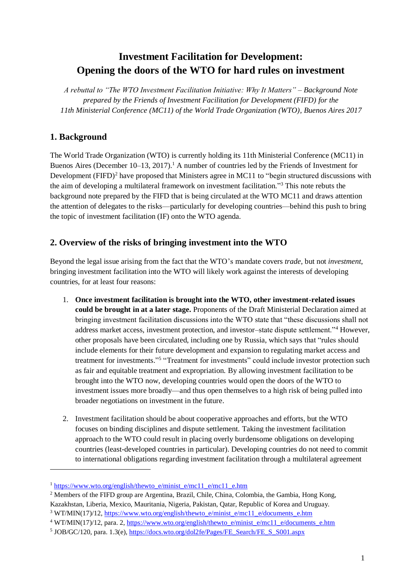# **Investment Facilitation for Development: Opening the doors of the WTO for hard rules on investment**

*A rebuttal to "The WTO Investment Facilitation Initiative: Why It Matters" – Background Note prepared by the Friends of Investment Facilitation for Development (FIFD) for the 11th Ministerial Conference (MC11) of the World Trade Organization (WTO), Buenos Aires 2017*

# **1. Background**

1

The World Trade Organization (WTO) is currently holding its 11th Ministerial Conference (MC11) in Buenos Aires (December 10–13, 2017).<sup>1</sup> A number of countries led by the Friends of Investment for Development  $(FIFD)<sup>2</sup>$  have proposed that Ministers agree in MC11 to "begin structured discussions with the aim of developing a multilateral framework on investment facilitation." <sup>3</sup> This note rebuts the background note prepared by the FIFD that is being circulated at the WTO MC11 and draws attention the attention of delegates to the risks—particularly for developing countries—behind this push to bring the topic of investment facilitation (IF) onto the WTO agenda.

### **2. Overview of the risks of bringing investment into the WTO**

Beyond the legal issue arising from the fact that the WTO's mandate covers *trade*, but not *investment*, bringing investment facilitation into the WTO will likely work against the interests of developing countries, for at least four reasons:

- 1. **Once investment facilitation is brought into the WTO, other investment-related issues could be brought in at a later stage.** Proponents of the Draft Ministerial Declaration aimed at bringing investment facilitation discussions into the WTO state that "these discussions shall not address market access, investment protection, and investor–state dispute settlement."<sup>4</sup> However, other proposals have been circulated, including one by Russia, which says that "rules should include elements for their future development and expansion to regulating market access and treatment for investments."<sup>5</sup> "Treatment for investments" could include investor protection such as fair and equitable treatment and expropriation. By allowing investment facilitation to be brought into the WTO now, developing countries would open the doors of the WTO to investment issues more broadly—and thus open themselves to a high risk of being pulled into broader negotiations on investment in the future.
- 2. Investment facilitation should be about cooperative approaches and efforts, but the WTO focuses on binding disciplines and dispute settlement. Taking the investment facilitation approach to the WTO could result in placing overly burdensome obligations on developing countries (least-developed countries in particular). Developing countries do not need to commit to international obligations regarding investment facilitation through a multilateral agreement

<sup>&</sup>lt;sup>1</sup> [https://www.wto.org/english/thewto\\_e/minist\\_e/mc11\\_e/mc11\\_e.htm](https://www.wto.org/english/thewto_e/minist_e/mc11_e/mc11_e.htm)

<sup>2</sup> Members of the FIFD group are Argentina, Brazil, Chile, China, Colombia, the Gambia, Hong Kong, Kazakhstan, Liberia, Mexico, Mauritania, Nigeria, Pakistan, Qatar, Republic of Korea and Uruguay.

<sup>&</sup>lt;sup>3</sup> WT/MIN(17)/12, [https://www.wto.org/english/thewto\\_e/minist\\_e/mc11\\_e/documents\\_e.htm](https://www.wto.org/english/thewto_e/minist_e/mc11_e/documents_e.htm)

<sup>&</sup>lt;sup>4</sup> WT/MIN(17)/12, para. 2, [https://www.wto.org/english/thewto\\_e/minist\\_e/mc11\\_e/documents\\_e.htm](https://www.wto.org/english/thewto_e/minist_e/mc11_e/documents_e.htm)

<sup>&</sup>lt;sup>5</sup> JOB/GC/120, para. 1.3(e), [https://docs.wto.org/dol2fe/Pages/FE\\_Search/FE\\_S\\_S001.aspx](https://docs.wto.org/dol2fe/Pages/FE_Search/FE_S_S001.aspx)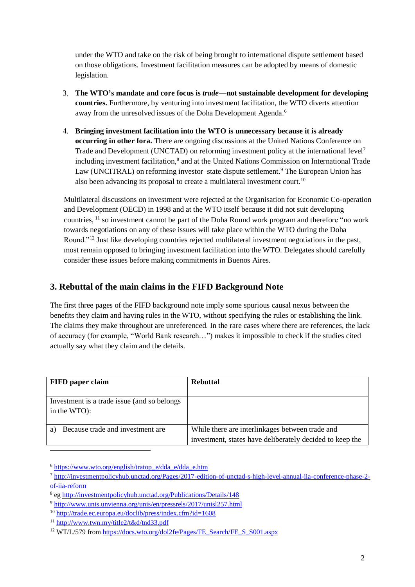under the WTO and take on the risk of being brought to international dispute settlement based on those obligations. Investment facilitation measures can be adopted by means of domestic legislation.

- 3. **The WTO's mandate and core focus is** *trade***—not sustainable development for developing countries.** Furthermore, by venturing into investment facilitation, the WTO diverts attention away from the unresolved issues of the Doha Development Agenda.<sup>6</sup>
- 4. **Bringing investment facilitation into the WTO is unnecessary because it is already occurring in other fora.** There are ongoing discussions at the United Nations Conference on Trade and Development (UNCTAD) on reforming investment policy at the international level<sup>7</sup> including investment facilitation, 8 and at the United Nations Commission on International Trade Law (UNCITRAL) on reforming investor–state dispute settlement.<sup>9</sup> The European Union has also been advancing its proposal to create a multilateral investment court.<sup>10</sup>

Multilateral discussions on investment were rejected at the Organisation for Economic Co-operation and Development (OECD) in 1998 and at the WTO itself because it did not suit developing countries, <sup>11</sup> so investment cannot be part of the Doha Round work program and therefore "no work towards negotiations on any of these issues will take place within the WTO during the Doha Round."<sup>12</sup> Just like developing countries rejected multilateral investment negotiations in the past, most remain opposed to bringing investment facilitation into the WTO. Delegates should carefully consider these issues before making commitments in Buenos Aires.

### **3. Rebuttal of the main claims in the FIFD Background Note**

The first three pages of the FIFD background note imply some spurious causal nexus between the benefits they claim and having rules in the WTO, without specifying the rules or establishing the link. The claims they make throughout are unreferenced. In the rare cases where there are references, the lack of accuracy (for example, "World Bank research…") makes it impossible to check if the studies cited actually say what they claim and the details.

| <b>FIFD</b> paper claim                                     | <b>Rebuttal</b>                                                                                             |
|-------------------------------------------------------------|-------------------------------------------------------------------------------------------------------------|
| Investment is a trade issue (and so belongs)<br>in the WTO: |                                                                                                             |
| Because trade and investment are<br>a)                      | While there are interlinkages between trade and<br>investment, states have deliberately decided to keep the |

<sup>6</sup> [https://www.wto.org/english/tratop\\_e/dda\\_e/dda\\_e.htm](https://www.wto.org/english/tratop_e/dda_e/dda_e.htm)

<sup>7</sup> [http://investmentpolicyhub.unctad.org/Pages/2017-edition-of-unctad-s-high-level-annual-iia-conference-phase-2](http://investmentpolicyhub.unctad.org/Pages/2017-edition-of-unctad-s-high-level-annual-iia-conference-phase-2-of-iia-reform) [of-iia-reform](http://investmentpolicyhub.unctad.org/Pages/2017-edition-of-unctad-s-high-level-annual-iia-conference-phase-2-of-iia-reform)

<sup>&</sup>lt;sup>8</sup> e[g http://investmentpolicyhub.unctad.org/Publications/Details/148](http://investmentpolicyhub.unctad.org/Publications/Details/148)

<sup>9</sup> <http://www.unis.unvienna.org/unis/en/pressrels/2017/unisl257.html>

<sup>10</sup> <http://trade.ec.europa.eu/doclib/press/index.cfm?id=1608>

<sup>11</sup> <http://www.twn.my/title2/t&d/tnd33.pdf>

<sup>&</sup>lt;sup>12</sup> WT/L/579 fro[m https://docs.wto.org/dol2fe/Pages/FE\\_Search/FE\\_S\\_S001.aspx](https://docs.wto.org/dol2fe/Pages/FE_Search/FE_S_S001.aspx)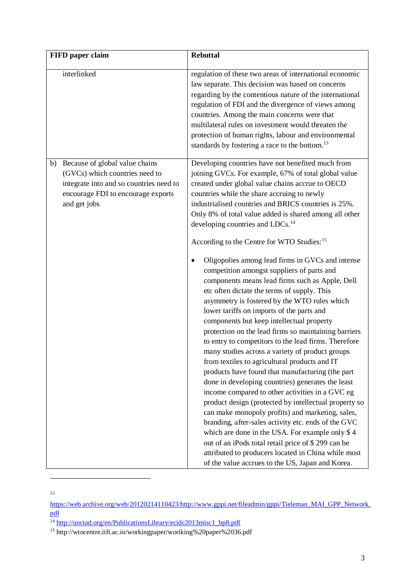|    | FIFD paper claim                                                                                                                                                  | <b>Rebuttal</b>                                                                                                                                                                                                                                                                                                                                                                                                                                                                                                                                                                                                                                                                                                                                                                                                                                                                                                                                                                                                                                                                                                                                                                                                                                                                                                                                                                                                                                                                                                                                                     |
|----|-------------------------------------------------------------------------------------------------------------------------------------------------------------------|---------------------------------------------------------------------------------------------------------------------------------------------------------------------------------------------------------------------------------------------------------------------------------------------------------------------------------------------------------------------------------------------------------------------------------------------------------------------------------------------------------------------------------------------------------------------------------------------------------------------------------------------------------------------------------------------------------------------------------------------------------------------------------------------------------------------------------------------------------------------------------------------------------------------------------------------------------------------------------------------------------------------------------------------------------------------------------------------------------------------------------------------------------------------------------------------------------------------------------------------------------------------------------------------------------------------------------------------------------------------------------------------------------------------------------------------------------------------------------------------------------------------------------------------------------------------|
|    | interlinked                                                                                                                                                       | regulation of these two areas of international economic<br>law separate. This decision was based on concerns<br>regarding by the contentious nature of the international<br>regulation of FDI and the divergence of views among<br>countries. Among the main concerns were that<br>multilateral rules on investment would threaten the<br>protection of human rights, labour and environmental<br>standards by fostering a race to the bottom. <sup>13</sup>                                                                                                                                                                                                                                                                                                                                                                                                                                                                                                                                                                                                                                                                                                                                                                                                                                                                                                                                                                                                                                                                                                        |
| b) | Because of global value chains<br>(GVCs) which countries need to<br>integrate into and so countries need to<br>encourage FDI to encourage exports<br>and get jobs | Developing countries have not benefited much from<br>joining GVCs. For example, 67% of total global value<br>created under global value chains accrue to OECD<br>countries while the share accruing to newly<br>industrialised countries and BRICS countries is 25%.<br>Only 8% of total value added is shared among all other<br>developing countries and LDCs. <sup>14</sup><br>According to the Centre for WTO Studies: <sup>15</sup><br>Oligopolies among lead firms in GVCs and intense<br>٠<br>competition amongst suppliers of parts and<br>components means lead firms such as Apple, Dell<br>etc often dictate the terms of supply. This<br>asymmetry is fostered by the WTO rules which<br>lower tariffs on imports of the parts and<br>components but keep intellectual property<br>protection on the lead firms so maintaining barriers<br>to entry to competitors to the lead firms. Therefore<br>many studies across a variety of product groups<br>from textiles to agricultural products and IT<br>products have found that manufacturing (the part<br>done in developing countries) generates the least<br>income compared to other activities in a GVC eg<br>product design (protected by intellectual property so<br>can make monopoly profits) and marketing, sales,<br>branding, after-sales activity etc. ends of the GVC<br>which are done in the USA. For example only \$4<br>out of an iPods total retail price of \$299 can be<br>attributed to producers located in China while most<br>of the value accrues to the US, Japan and Korea. |

13

-

[https://web.archive.org/web/20120214110423/http://www.gppi.net/fileadmin/gppi/Tieleman\\_MAI\\_GPP\\_Network.](https://web.archive.org/web/20120214110423/http:/www.gppi.net/fileadmin/gppi/Tieleman_MAI_GPP_Network.pdf) [pdf](https://web.archive.org/web/20120214110423/http:/www.gppi.net/fileadmin/gppi/Tieleman_MAI_GPP_Network.pdf)

<sup>&</sup>lt;sup>14</sup> [http://unctad.org/en/PublicationsLibrary/ecidc2013misc1\\_bp8.pdf](http://unctad.org/en/PublicationsLibrary/ecidc2013misc1_bp8.pdf)

<sup>15</sup> http://wtocentre.iift.ac.in/workingpaper/woriking%20paper%2036.pdf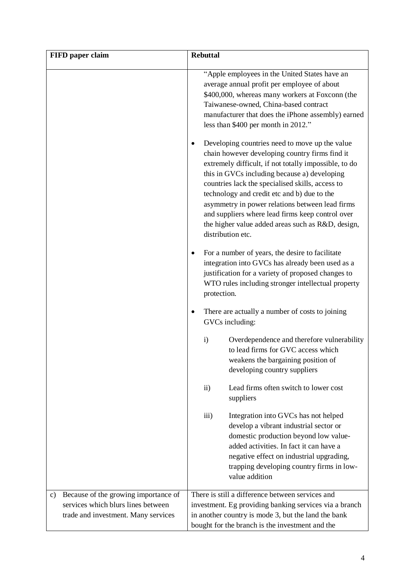| FIFD paper claim                                                                                                        | <b>Rebuttal</b>                                                                                                                                                                                                                                                                                                                                                                                                                             |
|-------------------------------------------------------------------------------------------------------------------------|---------------------------------------------------------------------------------------------------------------------------------------------------------------------------------------------------------------------------------------------------------------------------------------------------------------------------------------------------------------------------------------------------------------------------------------------|
|                                                                                                                         | "Apple employees in the United States have an<br>average annual profit per employee of about<br>\$400,000, whereas many workers at Foxconn (the<br>Taiwanese-owned, China-based contract<br>manufacturer that does the iPhone assembly) earned<br>less than \$400 per month in 2012."<br>Developing countries need to move up the value                                                                                                     |
|                                                                                                                         | chain however developing country firms find it<br>extremely difficult, if not totally impossible, to do<br>this in GVCs including because a) developing<br>countries lack the specialised skills, access to<br>technology and credit etc and b) due to the<br>asymmetry in power relations between lead firms<br>and suppliers where lead firms keep control over<br>the higher value added areas such as R&D, design,<br>distribution etc. |
|                                                                                                                         | For a number of years, the desire to facilitate<br>integration into GVCs has already been used as a<br>justification for a variety of proposed changes to<br>WTO rules including stronger intellectual property<br>protection.                                                                                                                                                                                                              |
|                                                                                                                         | There are actually a number of costs to joining<br>GVCs including:                                                                                                                                                                                                                                                                                                                                                                          |
|                                                                                                                         | $\mathbf{i}$<br>Overdependence and therefore vulnerability<br>to lead firms for GVC access which<br>weakens the bargaining position of<br>developing country suppliers                                                                                                                                                                                                                                                                      |
|                                                                                                                         | Lead firms often switch to lower cost<br>$\mathbf{ii}$<br>suppliers                                                                                                                                                                                                                                                                                                                                                                         |
|                                                                                                                         | iii)<br>Integration into GVCs has not helped<br>develop a vibrant industrial sector or<br>domestic production beyond low value-<br>added activities. In fact it can have a<br>negative effect on industrial upgrading,<br>trapping developing country firms in low-<br>value addition                                                                                                                                                       |
| Because of the growing importance of<br>c)<br>services which blurs lines between<br>trade and investment. Many services | There is still a difference between services and<br>investment. Eg providing banking services via a branch<br>in another country is mode 3, but the land the bank<br>bought for the branch is the investment and the                                                                                                                                                                                                                        |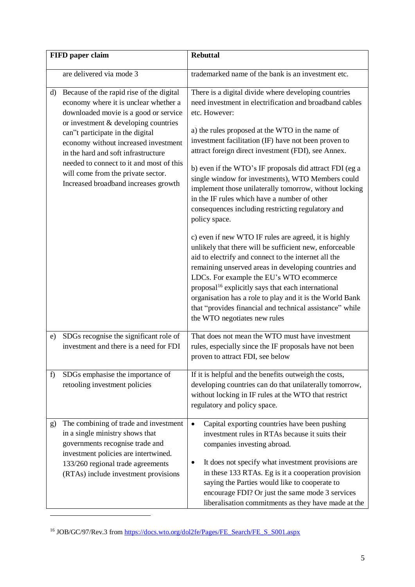| FIFD paper claim                                                                                                                                                                                                                                                                                                                                                                                                      | <b>Rebuttal</b>                                                                                                                                                                                                                                                                                                                                                                                                                                                                                                                                                                                                                                                                                                                                                                                                                                                                                                                                                                                                                                                                                             |
|-----------------------------------------------------------------------------------------------------------------------------------------------------------------------------------------------------------------------------------------------------------------------------------------------------------------------------------------------------------------------------------------------------------------------|-------------------------------------------------------------------------------------------------------------------------------------------------------------------------------------------------------------------------------------------------------------------------------------------------------------------------------------------------------------------------------------------------------------------------------------------------------------------------------------------------------------------------------------------------------------------------------------------------------------------------------------------------------------------------------------------------------------------------------------------------------------------------------------------------------------------------------------------------------------------------------------------------------------------------------------------------------------------------------------------------------------------------------------------------------------------------------------------------------------|
| are delivered via mode 3                                                                                                                                                                                                                                                                                                                                                                                              | trademarked name of the bank is an investment etc.                                                                                                                                                                                                                                                                                                                                                                                                                                                                                                                                                                                                                                                                                                                                                                                                                                                                                                                                                                                                                                                          |
| Because of the rapid rise of the digital<br>d)<br>economy where it is unclear whether a<br>downloaded movie is a good or service<br>or investment & developing countries<br>can"t participate in the digital<br>economy without increased investment<br>in the hard and soft infrastructure<br>needed to connect to it and most of this<br>will come from the private sector.<br>Increased broadband increases growth | There is a digital divide where developing countries<br>need investment in electrification and broadband cables<br>etc. However:<br>a) the rules proposed at the WTO in the name of<br>investment facilitation (IF) have not been proven to<br>attract foreign direct investment (FDI), see Annex.<br>b) even if the WTO's IF proposals did attract FDI (eg a<br>single window for investments), WTO Members could<br>implement those unilaterally tomorrow, without locking<br>in the IF rules which have a number of other<br>consequences including restricting regulatory and<br>policy space.<br>c) even if new WTO IF rules are agreed, it is highly<br>unlikely that there will be sufficient new, enforceable<br>aid to electrify and connect to the internet all the<br>remaining unserved areas in developing countries and<br>LDCs. For example the EU's WTO ecommerce<br>proposal <sup>16</sup> explicitly says that each international<br>organisation has a role to play and it is the World Bank<br>that "provides financial and technical assistance" while<br>the WTO negotiates new rules |
| SDGs recognise the significant role of<br>e)<br>investment and there is a need for FDI                                                                                                                                                                                                                                                                                                                                | That does not mean the WTO must have investment<br>rules, especially since the IF proposals have not been<br>proven to attract FDI, see below                                                                                                                                                                                                                                                                                                                                                                                                                                                                                                                                                                                                                                                                                                                                                                                                                                                                                                                                                               |
| SDGs emphasise the importance of<br>f<br>retooling investment policies                                                                                                                                                                                                                                                                                                                                                | If it is helpful and the benefits outweigh the costs,<br>developing countries can do that unilaterally tomorrow,<br>without locking in IF rules at the WTO that restrict<br>regulatory and policy space.                                                                                                                                                                                                                                                                                                                                                                                                                                                                                                                                                                                                                                                                                                                                                                                                                                                                                                    |
| The combining of trade and investment<br>g)<br>in a single ministry shows that<br>governments recognise trade and<br>investment policies are intertwined.<br>133/260 regional trade agreements<br>(RTAs) include investment provisions                                                                                                                                                                                | Capital exporting countries have been pushing<br>$\bullet$<br>investment rules in RTAs because it suits their<br>companies investing abroad.<br>It does not specify what investment provisions are<br>in these 133 RTAs. Eg is it a cooperation provision<br>saying the Parties would like to cooperate to<br>encourage FDI? Or just the same mode 3 services<br>liberalisation commitments as they have made at the                                                                                                                                                                                                                                                                                                                                                                                                                                                                                                                                                                                                                                                                                        |

<sup>&</sup>lt;sup>16</sup> JOB/GC/97/Rev.3 from [https://docs.wto.org/dol2fe/Pages/FE\\_Search/FE\\_S\\_S001.aspx](https://docs.wto.org/dol2fe/Pages/FE_Search/FE_S_S001.aspx)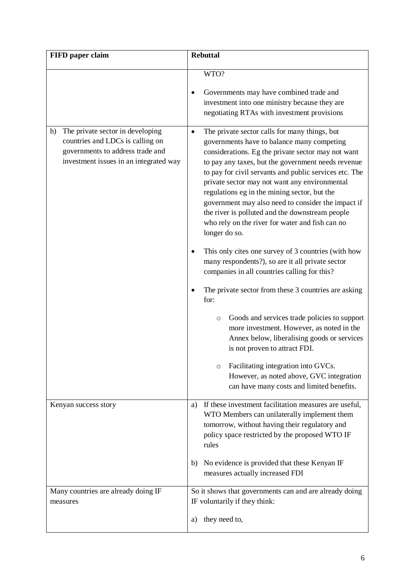| FIFD paper claim                                                                                                                                         | <b>Rebuttal</b>                                                                                                                                                                                                                                                                                                                                                                                                                                                                                                                                              |
|----------------------------------------------------------------------------------------------------------------------------------------------------------|--------------------------------------------------------------------------------------------------------------------------------------------------------------------------------------------------------------------------------------------------------------------------------------------------------------------------------------------------------------------------------------------------------------------------------------------------------------------------------------------------------------------------------------------------------------|
|                                                                                                                                                          | WTO?<br>Governments may have combined trade and<br>٠<br>investment into one ministry because they are<br>negotiating RTAs with investment provisions                                                                                                                                                                                                                                                                                                                                                                                                         |
| The private sector in developing<br>h)<br>countries and LDCs is calling on<br>governments to address trade and<br>investment issues in an integrated way | The private sector calls for many things, but<br>$\bullet$<br>governments have to balance many competing<br>considerations. Eg the private sector may not want<br>to pay any taxes, but the government needs revenue<br>to pay for civil servants and public services etc. The<br>private sector may not want any environmental<br>regulations eg in the mining sector, but the<br>government may also need to consider the impact if<br>the river is polluted and the downstream people<br>who rely on the river for water and fish can no<br>longer do so. |
|                                                                                                                                                          | This only cites one survey of 3 countries (with how<br>many respondents?), so are it all private sector<br>companies in all countries calling for this?                                                                                                                                                                                                                                                                                                                                                                                                      |
|                                                                                                                                                          | The private sector from these 3 countries are asking<br>for:                                                                                                                                                                                                                                                                                                                                                                                                                                                                                                 |
|                                                                                                                                                          | Goods and services trade policies to support<br>$\circ$<br>more investment. However, as noted in the<br>Annex below, liberalising goods or services<br>is not proven to attract FDI.                                                                                                                                                                                                                                                                                                                                                                         |
|                                                                                                                                                          | Facilitating integration into GVCs.<br>O<br>However, as noted above, GVC integration<br>can have many costs and limited benefits.                                                                                                                                                                                                                                                                                                                                                                                                                            |
| Kenyan success story                                                                                                                                     | If these investment facilitation measures are useful,<br>a)<br>WTO Members can unilaterally implement them<br>tomorrow, without having their regulatory and<br>policy space restricted by the proposed WTO IF<br>rules                                                                                                                                                                                                                                                                                                                                       |
|                                                                                                                                                          | b) No evidence is provided that these Kenyan IF<br>measures actually increased FDI                                                                                                                                                                                                                                                                                                                                                                                                                                                                           |
| Many countries are already doing IF<br>measures                                                                                                          | So it shows that governments can and are already doing<br>IF voluntarily if they think:                                                                                                                                                                                                                                                                                                                                                                                                                                                                      |
|                                                                                                                                                          | they need to,<br>a)                                                                                                                                                                                                                                                                                                                                                                                                                                                                                                                                          |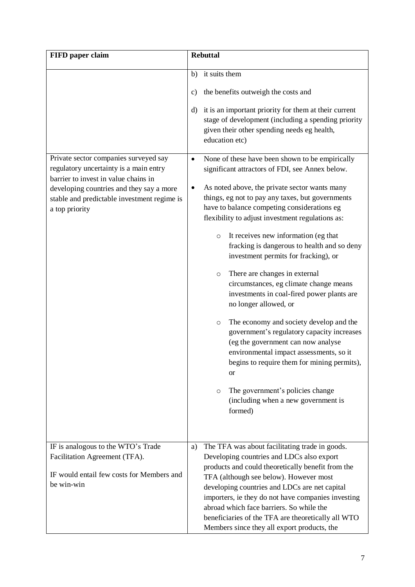| FIFD paper claim                                                                                                        | <b>Rebuttal</b>                                                                                                                                                                                                                                                                             |
|-------------------------------------------------------------------------------------------------------------------------|---------------------------------------------------------------------------------------------------------------------------------------------------------------------------------------------------------------------------------------------------------------------------------------------|
|                                                                                                                         | it suits them<br>b)                                                                                                                                                                                                                                                                         |
|                                                                                                                         | the benefits outweigh the costs and<br>$\mathbf{c})$<br>it is an important priority for them at their current<br>d)                                                                                                                                                                         |
|                                                                                                                         | stage of development (including a spending priority<br>given their other spending needs eg health,<br>education etc)                                                                                                                                                                        |
| Private sector companies surveyed say<br>regulatory uncertainty is a main entry<br>barrier to invest in value chains in | None of these have been shown to be empirically<br>$\bullet$<br>significant attractors of FDI, see Annex below.                                                                                                                                                                             |
| developing countries and they say a more<br>stable and predictable investment regime is<br>a top priority               | As noted above, the private sector wants many<br>٠<br>things, eg not to pay any taxes, but governments<br>have to balance competing considerations eg<br>flexibility to adjust investment regulations as:                                                                                   |
|                                                                                                                         | It receives new information (eg that<br>$\circ$<br>fracking is dangerous to health and so deny<br>investment permits for fracking), or                                                                                                                                                      |
|                                                                                                                         | There are changes in external<br>$\circ$<br>circumstances, eg climate change means<br>investments in coal-fired power plants are<br>no longer allowed, or                                                                                                                                   |
|                                                                                                                         | The economy and society develop and the<br>$\circ$<br>government's regulatory capacity increases<br>(eg the government can now analyse<br>environmental impact assessments, so it<br>begins to require them for mining permits),<br><b>or</b>                                               |
|                                                                                                                         | The government's policies change<br>$\circ$<br>(including when a new government is<br>formed)                                                                                                                                                                                               |
| IF is analogous to the WTO's Trade<br>Facilitation Agreement (TFA).                                                     | The TFA was about facilitating trade in goods.<br>a)                                                                                                                                                                                                                                        |
| IF would entail few costs for Members and<br>be win-win                                                                 | Developing countries and LDCs also export<br>products and could theoretically benefit from the<br>TFA (although see below). However most<br>developing countries and LDCs are net capital<br>importers, ie they do not have companies investing<br>abroad which face barriers. So while the |
|                                                                                                                         | beneficiaries of the TFA are theoretically all WTO<br>Members since they all export products, the                                                                                                                                                                                           |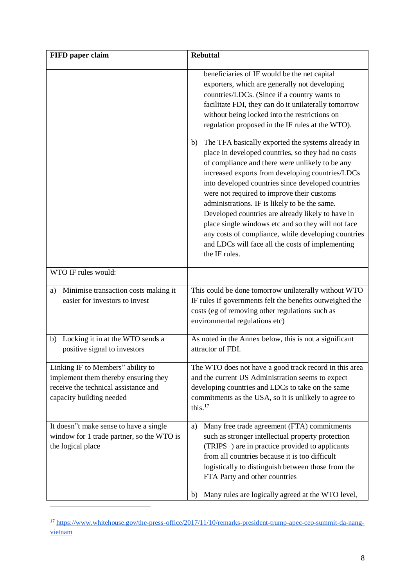| FIFD paper claim                                                                                                                              | <b>Rebuttal</b>                                                                                                                                                                                                                                                                                                                                                                                                                                                                                                                                                                                                  |
|-----------------------------------------------------------------------------------------------------------------------------------------------|------------------------------------------------------------------------------------------------------------------------------------------------------------------------------------------------------------------------------------------------------------------------------------------------------------------------------------------------------------------------------------------------------------------------------------------------------------------------------------------------------------------------------------------------------------------------------------------------------------------|
|                                                                                                                                               | beneficiaries of IF would be the net capital<br>exporters, which are generally not developing<br>countries/LDCs. (Since if a country wants to<br>facilitate FDI, they can do it unilaterally tomorrow<br>without being locked into the restrictions on<br>regulation proposed in the IF rules at the WTO).                                                                                                                                                                                                                                                                                                       |
|                                                                                                                                               | The TFA basically exported the systems already in<br>b)<br>place in developed countries, so they had no costs<br>of compliance and there were unlikely to be any<br>increased exports from developing countries/LDCs<br>into developed countries since developed countries<br>were not required to improve their customs<br>administrations. IF is likely to be the same.<br>Developed countries are already likely to have in<br>place single windows etc and so they will not face<br>any costs of compliance, while developing countries<br>and LDCs will face all the costs of implementing<br>the IF rules. |
| WTO IF rules would:                                                                                                                           |                                                                                                                                                                                                                                                                                                                                                                                                                                                                                                                                                                                                                  |
| Minimise transaction costs making it<br>a)<br>easier for investors to invest                                                                  | This could be done tomorrow unilaterally without WTO<br>IF rules if governments felt the benefits outweighed the<br>costs (eg of removing other regulations such as<br>environmental regulations etc)                                                                                                                                                                                                                                                                                                                                                                                                            |
| Locking it in at the WTO sends a<br>b)<br>positive signal to investors                                                                        | As noted in the Annex below, this is not a significant<br>attractor of FDI.                                                                                                                                                                                                                                                                                                                                                                                                                                                                                                                                      |
| Linking IF to Members" ability to<br>implement them thereby ensuring they<br>receive the technical assistance and<br>capacity building needed | The WTO does not have a good track record in this area<br>and the current US Administration seems to expect<br>developing countries and LDCs to take on the same<br>commitments as the USA, so it is unlikely to agree to<br>this. $17$                                                                                                                                                                                                                                                                                                                                                                          |
| It doesn''t make sense to have a single<br>window for 1 trade partner, so the WTO is<br>the logical place                                     | Many free trade agreement (FTA) commitments<br>a)<br>such as stronger intellectual property protection<br>(TRIPS+) are in practice provided to applicants<br>from all countries because it is too difficult<br>logistically to distinguish between those from the<br>FTA Party and other countries<br>Many rules are logically agreed at the WTO level,<br>b)                                                                                                                                                                                                                                                    |

<sup>17</sup> [https://www.whitehouse.gov/the-press-office/2017/11/10/remarks-president-trump-apec-ceo-summit-da-nang](https://www.whitehouse.gov/the-press-office/2017/11/10/remarks-president-trump-apec-ceo-summit-da-nang-vietnam)[vietnam](https://www.whitehouse.gov/the-press-office/2017/11/10/remarks-president-trump-apec-ceo-summit-da-nang-vietnam)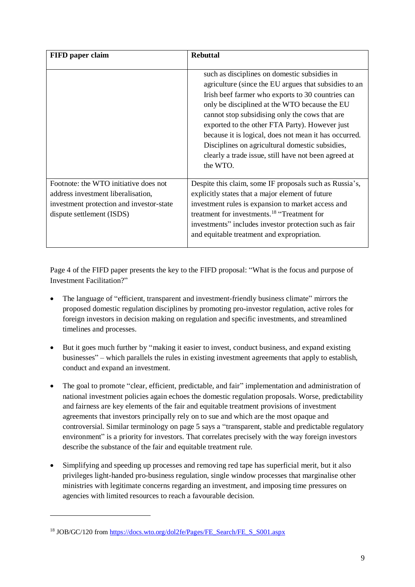| FIFD paper claim                                                                                                                                     | <b>Rebuttal</b>                                                                                                                                                                                                                                                                                                                                                                                                                                                                                 |
|------------------------------------------------------------------------------------------------------------------------------------------------------|-------------------------------------------------------------------------------------------------------------------------------------------------------------------------------------------------------------------------------------------------------------------------------------------------------------------------------------------------------------------------------------------------------------------------------------------------------------------------------------------------|
|                                                                                                                                                      | such as disciplines on domestic subsidies in<br>agriculture (since the EU argues that subsidies to an<br>Irish beef farmer who exports to 30 countries can<br>only be disciplined at the WTO because the EU<br>cannot stop subsidising only the cows that are<br>exported to the other FTA Party). However just<br>because it is logical, does not mean it has occurred.<br>Disciplines on agricultural domestic subsidies,<br>clearly a trade issue, still have not been agreed at<br>the WTO. |
| Footnote: the WTO initiative does not<br>address investment liberalisation,<br>investment protection and investor-state<br>dispute settlement (ISDS) | Despite this claim, some IF proposals such as Russia's,<br>explicitly states that a major element of future<br>investment rules is expansion to market access and<br>treatment for investments. <sup>18</sup> "Treatment for<br>investments" includes investor protection such as fair<br>and equitable treatment and expropriation.                                                                                                                                                            |

Page 4 of the FIFD paper presents the key to the FIFD proposal: "What is the focus and purpose of Investment Facilitation?"

- The language of "efficient, transparent and investment-friendly business climate" mirrors the proposed domestic regulation disciplines by promoting pro-investor regulation, active roles for foreign investors in decision making on regulation and specific investments, and streamlined timelines and processes.
- But it goes much further by "making it easier to invest, conduct business, and expand existing businesses" – which parallels the rules in existing investment agreements that apply to establish, conduct and expand an investment.
- The goal to promote "clear, efficient, predictable, and fair" implementation and administration of national investment policies again echoes the domestic regulation proposals. Worse, predictability and fairness are key elements of the fair and equitable treatment provisions of investment agreements that investors principally rely on to sue and which are the most opaque and controversial. Similar terminology on page 5 says a "transparent, stable and predictable regulatory environment" is a priority for investors. That correlates precisely with the way foreign investors describe the substance of the fair and equitable treatment rule.
- Simplifying and speeding up processes and removing red tape has superficial merit, but it also privileges light-handed pro-business regulation, single window processes that marginalise other ministries with legitimate concerns regarding an investment, and imposing time pressures on agencies with limited resources to reach a favourable decision.

1

<sup>&</sup>lt;sup>18</sup> JOB/GC/120 fro[m https://docs.wto.org/dol2fe/Pages/FE\\_Search/FE\\_S\\_S001.aspx](https://docs.wto.org/dol2fe/Pages/FE_Search/FE_S_S001.aspx)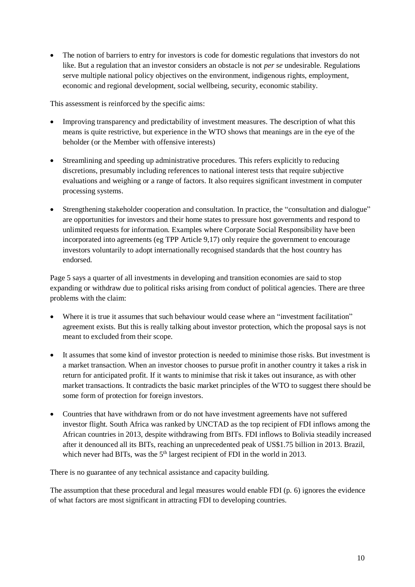• The notion of barriers to entry for investors is code for domestic regulations that investors do not like. But a regulation that an investor considers an obstacle is not *per se* undesirable. Regulations serve multiple national policy objectives on the environment, indigenous rights, employment, economic and regional development, social wellbeing, security, economic stability.

This assessment is reinforced by the specific aims:

- Improving transparency and predictability of investment measures. The description of what this means is quite restrictive, but experience in the WTO shows that meanings are in the eye of the beholder (or the Member with offensive interests)
- Streamlining and speeding up administrative procedures. This refers explicitly to reducing discretions, presumably including references to national interest tests that require subjective evaluations and weighing or a range of factors. It also requires significant investment in computer processing systems.
- Strengthening stakeholder cooperation and consultation. In practice, the "consultation and dialogue" are opportunities for investors and their home states to pressure host governments and respond to unlimited requests for information. Examples where Corporate Social Responsibility have been incorporated into agreements (eg TPP Article 9,17) only require the government to encourage investors voluntarily to adopt internationally recognised standards that the host country has endorsed.

Page 5 says a quarter of all investments in developing and transition economies are said to stop expanding or withdraw due to political risks arising from conduct of political agencies. There are three problems with the claim:

- Where it is true it assumes that such behaviour would cease where an "investment facilitation" agreement exists. But this is really talking about investor protection, which the proposal says is not meant to excluded from their scope.
- It assumes that some kind of investor protection is needed to minimise those risks. But investment is a market transaction. When an investor chooses to pursue profit in another country it takes a risk in return for anticipated profit. If it wants to minimise that risk it takes out insurance, as with other market transactions. It contradicts the basic market principles of the WTO to suggest there should be some form of protection for foreign investors.
- Countries that have withdrawn from or do not have investment agreements have not suffered investor flight. South Africa was ranked by UNCTAD as the top recipient of FDI inflows among the African countries in 2013, despite withdrawing from BITs. FDI inflows to Bolivia steadily increased after it denounced all its BITs, reaching an unprecedented peak of US\$1.75 billion in 2013. Brazil, which never had BITs, was the 5<sup>th</sup> largest recipient of FDI in the world in 2013.

There is no guarantee of any technical assistance and capacity building.

The assumption that these procedural and legal measures would enable FDI (p. 6) ignores the evidence of what factors are most significant in attracting FDI to developing countries.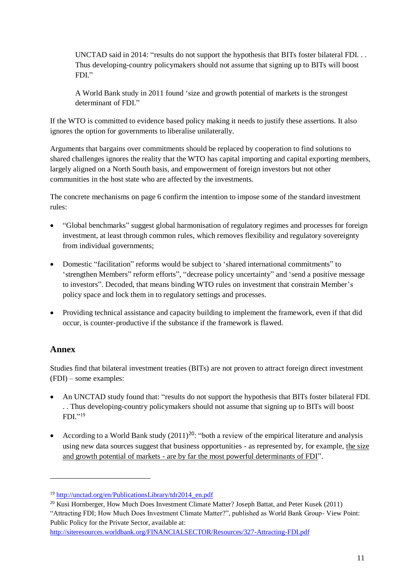UNCTAD said in 2014: "results do not support the hypothesis that BITs foster bilateral FDI. . . Thus developing-country policymakers should not assume that signing up to BITs will boost FDI."

A World Bank study in 2011 found 'size and growth potential of markets is the strongest determinant of FDI."

If the WTO is committed to evidence based policy making it needs to justify these assertions. It also ignores the option for governments to liberalise unilaterally.

Arguments that bargains over commitments should be replaced by cooperation to find solutions to shared challenges ignores the reality that the WTO has capital importing and capital exporting members, largely aligned on a North South basis, and empowerment of foreign investors but not other communities in the host state who are affected by the investments.

The concrete mechanisms on page 6 confirm the intention to impose some of the standard investment rules:

- "Global benchmarks" suggest global harmonisation of regulatory regimes and processes for foreign investment, at least through common rules, which removes flexibility and regulatory sovereignty from individual governments;
- Domestic "facilitation" reforms would be subject to 'shared international commitments" to 'strengthen Members" reform efforts", "decrease policy uncertainty" and 'send a positive message to investors". Decoded, that means binding WTO rules on investment that constrain Member's policy space and lock them in to regulatory settings and processes.
- Providing technical assistance and capacity building to implement the framework, even if that did occur, is counter-productive if the substance if the framework is flawed.

## **Annex**

-

Studies find that bilateral investment treaties (BITs) are not proven to attract foreign direct investment (FDI) – some examples:

- An UNCTAD study found that: "results do not support the hypothesis that BITs foster bilateral FDI. . . Thus developing-country policymakers should not assume that signing up to BITs will boost FDI." 19
- According to a World Bank study  $(2011)^{20}$ : "both a review of the empirical literature and analysis using new data sources suggest that business opportunities - as represented by, for example, the size and growth potential of markets - are by far the most powerful determinants of FDI".

<http://siteresources.worldbank.org/FINANCIALSECTOR/Resources/327-Attracting-FDI.pdf>

<sup>19</sup> [http://unctad.org/en/PublicationsLibrary/tdr2014\\_en.pdf](http://unctad.org/en/PublicationsLibrary/tdr2014_en.pdf)

<sup>&</sup>lt;sup>20</sup> Kusi Hornberger, How Much Does Investment Climate Matter? Joseph Battat, and Peter Kusek (2011)

<sup>&</sup>quot;Attracting FDI; How Much Does Investment Climate Matter?", published as World Bank Group- View Point: Public Policy for the Private Sector, available at: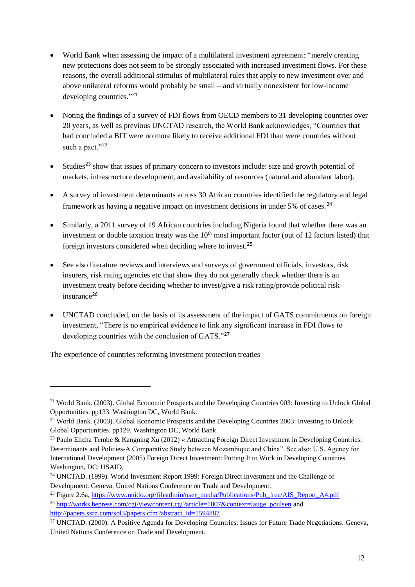- World Bank when assessing the impact of a multilateral investment agreement: "merely creating new protections does not seem to be strongly associated with increased investment flows. For these reasons, the overall additional stimulus of multilateral rules that apply to new investment over and above unilateral reforms would probably be small – and virtually nonexistent for low-income developing countries." 21
- Noting the findings of a survey of FDI flows from OECD members to 31 developing countries over 20 years, as well as previous UNCTAD research, the World Bank acknowledges, "Countries that had concluded a BIT were no more likely to receive additional FDI than were countries without such a pact."<sup>22</sup>
- Studies<sup>23</sup> show that issues of primary concern to investors include: size and growth potential of markets, infrastructure development, and availability of resources (natural and abundant labor).
- A survey of investment determinants across 30 African countries identified the regulatory and legal framework as having a negative impact on investment decisions in under 5% of cases.<sup>24</sup>
- Similarly, a 2011 survey of 19 African countries including Nigeria found that whether there was an investment or double taxation treaty was the  $10<sup>th</sup>$  most important factor (out of 12 factors listed) that foreign investors considered when deciding where to invest.<sup>25</sup>
- See also literature reviews and interviews and surveys of government officials, investors, risk insurers, risk rating agencies etc that show they do not generally check whether there is an investment treaty before deciding whether to invest/give a risk rating/provide political risk insurance<sup>26</sup>
- UNCTAD concluded, on the basis of its assessment of the impact of GATS commitments on foreign investment, "There is no empirical evidence to link any significant increase in FDI flows to developing countries with the conclusion of GATS."<sup>27</sup>

The experience of countries reforming investment protection treaties

1

<sup>&</sup>lt;sup>21</sup> World Bank. (2003). Global Economic Prospects and the Developing Countries 003: Investing to Unlock Global Opportunities. pp133. Washington DC, World Bank.

<sup>22</sup> World Bank. (2003). Global Economic Prospects and the Developing Countries 2003: Investing to Unlock Global Opportunities. pp129. Washington DC, World Bank.

<sup>&</sup>lt;sup>23</sup> Paulo Elicha Tembe & Kangning Xu (2012) « Attracting Foreign Direct Investment in Developing Countries: Determinants and Policies-A Comparative Study between Mozambique and China". See also: U.S. Agency for International Development (2005) Foreign Direct Investment: Putting It to Work in Developing Countries. Washington, DC: USAID.

<sup>&</sup>lt;sup>24</sup> UNCTAD. (1999). World Investment Report 1999: Foreign Direct Investment and the Challenge of Development. Geneva, United Nations Conference on Trade and Development.

<sup>&</sup>lt;sup>25</sup> Figure 2.6a, [https://www.unido.org/fileadmin/user\\_media/Publications/Pub\\_free/AIS\\_Report\\_A4.pdf](https://www.unido.org/fileadmin/user_media/Publications/Pub_free/AIS_Report_A4.pdf)

<sup>&</sup>lt;sup>26</sup> [http://works.bepress.com/cgi/viewcontent.cgi?article=1007&context=lauge\\_poulsen](http://works.bepress.com/cgi/viewcontent.cgi?article=1007&context=lauge_poulsen) and [http://papers.ssrn.com/sol3/papers.cfm?abstract\\_id=1594887](http://papers.ssrn.com/sol3/papers.cfm?abstract_id=1594887)

<sup>&</sup>lt;sup>27</sup> UNCTAD. (2000). A Positive Agenda for Developing Countries: Issues for Future Trade Negotiations. Geneva, United Nations Conference on Trade and Development.